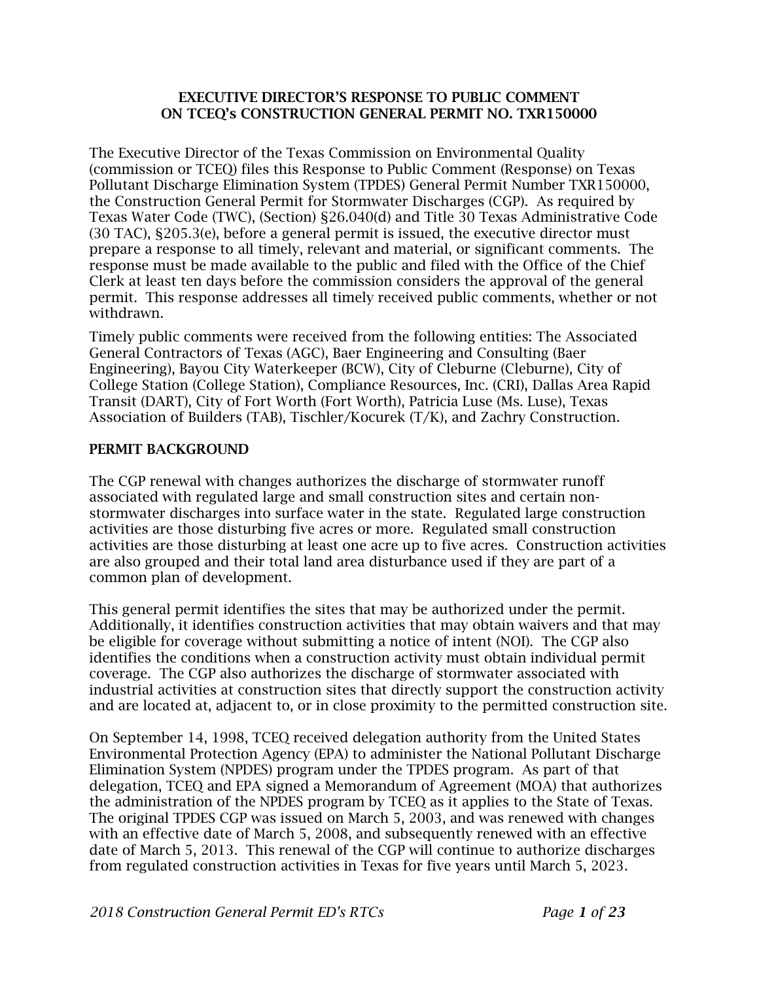#### EXECUTIVE DIRECTOR'S RESPONSE TO PUBLIC COMMENT ON TCEQ's CONSTRUCTION GENERAL PERMIT NO. TXR150000

The Executive Director of the Texas Commission on Environmental Quality (commission or TCEQ) files this Response to Public Comment (Response) on Texas Pollutant Discharge Elimination System (TPDES) General Permit Number TXR150000, the Construction General Permit for Stormwater Discharges (CGP). As required by Texas Water Code (TWC), (Section) §26.040(d) and Title 30 Texas Administrative Code (30 TAC), §205.3(e), before a general permit is issued, the executive director must prepare a response to all timely, relevant and material, or significant comments. The response must be made available to the public and filed with the Office of the Chief Clerk at least ten days before the commission considers the approval of the general permit. This response addresses all timely received public comments, whether or not withdrawn.

Timely public comments were received from the following entities: The Associated General Contractors of Texas (AGC), Baer Engineering and Consulting (Baer Engineering), Bayou City Waterkeeper (BCW), City of Cleburne (Cleburne), City of College Station (College Station), Compliance Resources, Inc. (CRI), Dallas Area Rapid Transit (DART), City of Fort Worth (Fort Worth), Patricia Luse (Ms. Luse), Texas Association of Builders (TAB), Tischler/Kocurek (T/K), and Zachry Construction.

### PERMIT BACKGROUND

The CGP renewal with changes authorizes the discharge of stormwater runoff associated with regulated large and small construction sites and certain nonstormwater discharges into surface water in the state. Regulated large construction activities are those disturbing five acres or more. Regulated small construction activities are those disturbing at least one acre up to five acres. Construction activities are also grouped and their total land area disturbance used if they are part of a common plan of development.

This general permit identifies the sites that may be authorized under the permit. Additionally, it identifies construction activities that may obtain waivers and that may be eligible for coverage without submitting a notice of intent (NOI). The CGP also identifies the conditions when a construction activity must obtain individual permit coverage. The CGP also authorizes the discharge of stormwater associated with industrial activities at construction sites that directly support the construction activity and are located at, adjacent to, or in close proximity to the permitted construction site.

On September 14, 1998, TCEQ received delegation authority from the United States Environmental Protection Agency (EPA) to administer the National Pollutant Discharge Elimination System (NPDES) program under the TPDES program. As part of that delegation, TCEQ and EPA signed a Memorandum of Agreement (MOA) that authorizes the administration of the NPDES program by TCEQ as it applies to the State of Texas. The original TPDES CGP was issued on March 5, 2003, and was renewed with changes with an effective date of March 5, 2008, and subsequently renewed with an effective date of March 5, 2013. This renewal of the CGP will continue to authorize discharges from regulated construction activities in Texas for five years until March 5, 2023.

*2018 Construction General Permit ED's RTCs Page 1 of 23*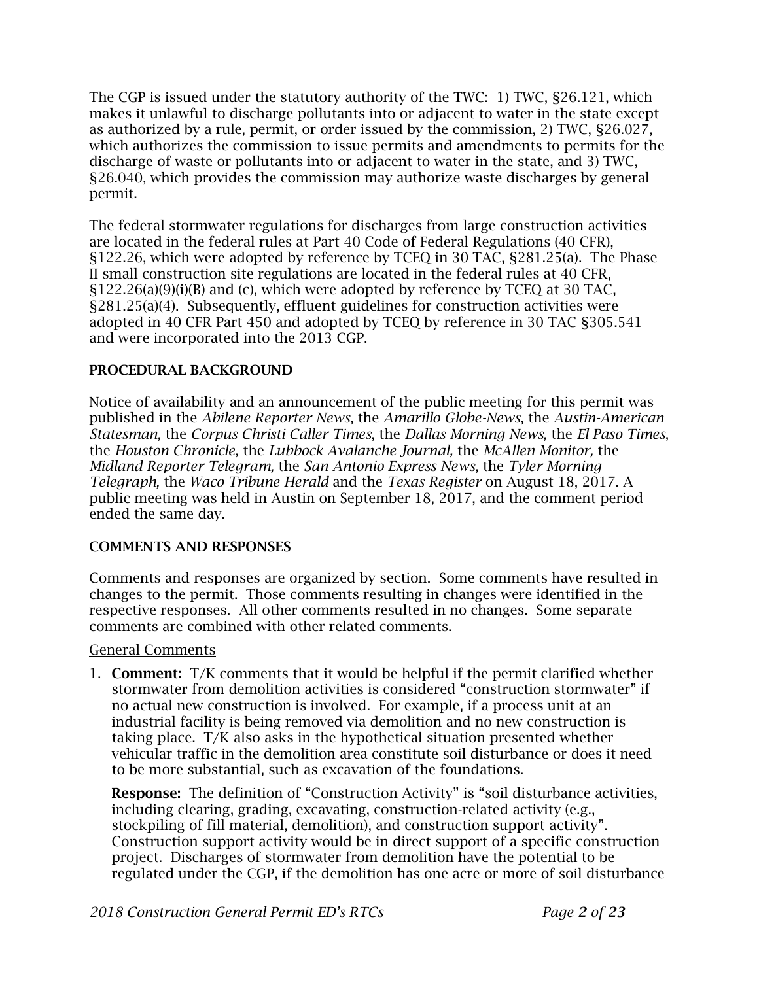The CGP is issued under the statutory authority of the TWC: 1) TWC, §26.121, which makes it unlawful to discharge pollutants into or adjacent to water in the state except as authorized by a rule, permit, or order issued by the commission, 2) TWC, §26.027, which authorizes the commission to issue permits and amendments to permits for the discharge of waste or pollutants into or adjacent to water in the state, and 3) TWC, §26.040, which provides the commission may authorize waste discharges by general permit.

The federal stormwater regulations for discharges from large construction activities are located in the federal rules at Part 40 Code of Federal Regulations (40 CFR), §122.26, which were adopted by reference by TCEQ in 30 TAC, §281.25(a). The Phase II small construction site regulations are located in the federal rules at 40 CFR, §122.26(a)(9)(i)(B) and (c), which were adopted by reference by TCEQ at 30 TAC, §281.25(a)(4). Subsequently, effluent guidelines for construction activities were adopted in 40 CFR Part 450 and adopted by TCEQ by reference in 30 TAC §305.541 and were incorporated into the 2013 CGP.

### PROCEDURAL BACKGROUND

Notice of availability and an announcement of the public meeting for this permit was published in the *Abilene Reporter News*, the *Amarillo Globe-News*, the *Austin-American Statesman,* the *Corpus Christi Caller Times*, the *Dallas Morning News,* the *El Paso Times*, the *Houston Chronicle*, the *Lubbock Avalanche Journal,* the *McAllen Monitor,* the *Midland Reporter Telegram,* the *San Antonio Express News*, the *Tyler Morning Telegraph,* the *Waco Tribune Herald* and the *Texas Register* on August 18, 2017. A public meeting was held in Austin on September 18, 2017, and the comment period ended the same day.

### COMMENTS AND RESPONSES

Comments and responses are organized by section. Some comments have resulted in changes to the permit. Those comments resulting in changes were identified in the respective responses. All other comments resulted in no changes. Some separate comments are combined with other related comments.

### General Comments

1. Comment: T/K comments that it would be helpful if the permit clarified whether stormwater from demolition activities is considered "construction stormwater" if no actual new construction is involved. For example, if a process unit at an industrial facility is being removed via demolition and no new construction is taking place. T/K also asks in the hypothetical situation presented whether vehicular traffic in the demolition area constitute soil disturbance or does it need to be more substantial, such as excavation of the foundations.

Response: The definition of "Construction Activity" is "soil disturbance activities, including clearing, grading, excavating, construction-related activity (e.g., stockpiling of fill material, demolition), and construction support activity". Construction support activity would be in direct support of a specific construction project. Discharges of stormwater from demolition have the potential to be regulated under the CGP, if the demolition has one acre or more of soil disturbance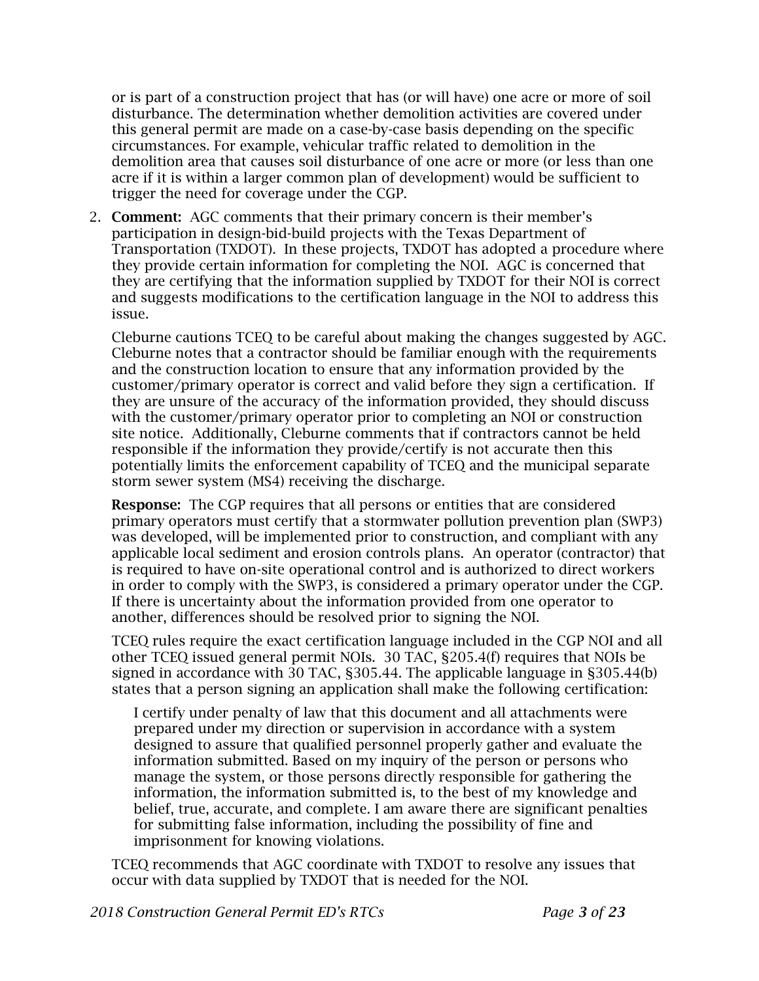or is part of a construction project that has (or will have) one acre or more of soil disturbance. The determination whether demolition activities are covered under this general permit are made on a case-by-case basis depending on the specific circumstances. For example, vehicular traffic related to demolition in the demolition area that causes soil disturbance of one acre or more (or less than one acre if it is within a larger common plan of development) would be sufficient to trigger the need for coverage under the CGP.

2. Comment: AGC comments that their primary concern is their member's participation in design-bid-build projects with the Texas Department of Transportation (TXDOT). In these projects, TXDOT has adopted a procedure where they provide certain information for completing the NOI. AGC is concerned that they are certifying that the information supplied by TXDOT for their NOI is correct and suggests modifications to the certification language in the NOI to address this issue.

Cleburne cautions TCEQ to be careful about making the changes suggested by AGC. Cleburne notes that a contractor should be familiar enough with the requirements and the construction location to ensure that any information provided by the customer/primary operator is correct and valid before they sign a certification. If they are unsure of the accuracy of the information provided, they should discuss with the customer/primary operator prior to completing an NOI or construction site notice. Additionally, Cleburne comments that if contractors cannot be held responsible if the information they provide/certify is not accurate then this potentially limits the enforcement capability of TCEQ and the municipal separate storm sewer system (MS4) receiving the discharge.

Response: The CGP requires that all persons or entities that are considered primary operators must certify that a stormwater pollution prevention plan (SWP3) was developed, will be implemented prior to construction, and compliant with any applicable local sediment and erosion controls plans. An operator (contractor) that is required to have on-site operational control and is authorized to direct workers in order to comply with the SWP3, is considered a primary operator under the CGP. If there is uncertainty about the information provided from one operator to another, differences should be resolved prior to signing the NOI.

TCEQ rules require the exact certification language included in the CGP NOI and all other TCEQ issued general permit NOIs. 30 TAC, §205.4(f) requires that NOIs be signed in accordance with 30 TAC, §305.44. The applicable language in §305.44(b) states that a person signing an application shall make the following certification:

I certify under penalty of law that this document and all attachments were prepared under my direction or supervision in accordance with a system designed to assure that qualified personnel properly gather and evaluate the information submitted. Based on my inquiry of the person or persons who manage the system, or those persons directly responsible for gathering the information, the information submitted is, to the best of my knowledge and belief, true, accurate, and complete. I am aware there are significant penalties for submitting false information, including the possibility of fine and imprisonment for knowing violations.

TCEQ recommends that AGC coordinate with TXDOT to resolve any issues that occur with data supplied by TXDOT that is needed for the NOI.

*2018 Construction General Permit ED's RTCs Page 3 of 23*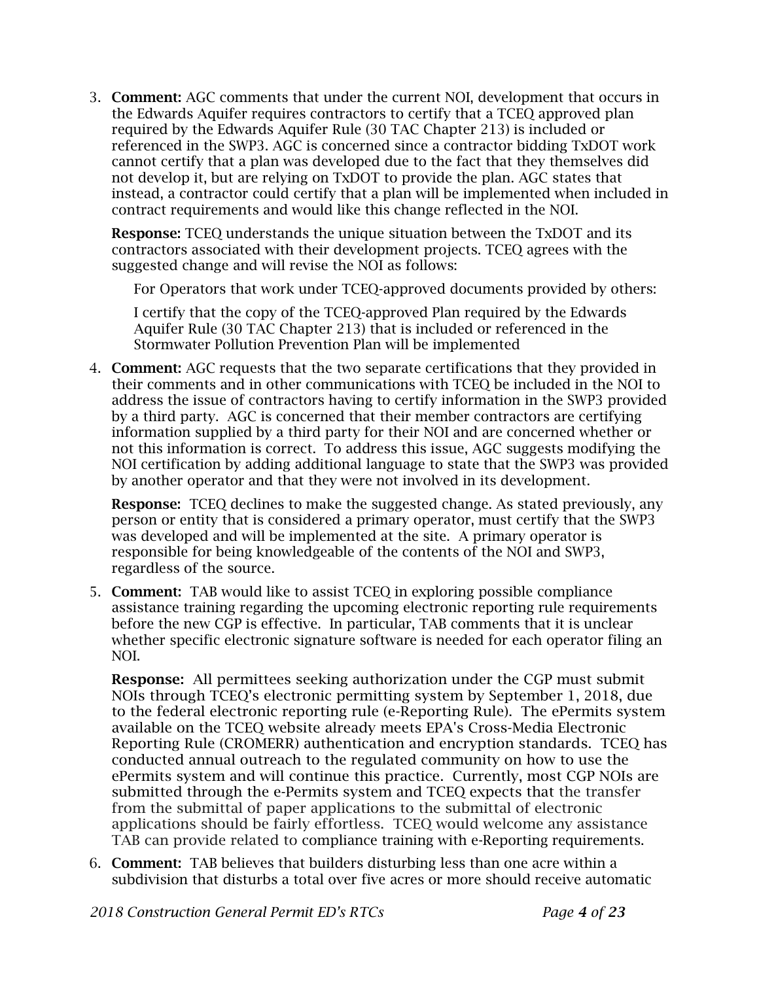3. Comment: AGC comments that under the current NOI, development that occurs in the Edwards Aquifer requires contractors to certify that a TCEQ approved plan required by the Edwards Aquifer Rule (30 TAC Chapter 213) is included or referenced in the SWP3. AGC is concerned since a contractor bidding TxDOT work cannot certify that a plan was developed due to the fact that they themselves did not develop it, but are relying on TxDOT to provide the plan. AGC states that instead, a contractor could certify that a plan will be implemented when included in contract requirements and would like this change reflected in the NOI.

Response: TCEQ understands the unique situation between the TxDOT and its contractors associated with their development projects. TCEQ agrees with the suggested change and will revise the NOI as follows:

For Operators that work under TCEQ-approved documents provided by others:

I certify that the copy of the TCEQ-approved Plan required by the Edwards Aquifer Rule (30 TAC Chapter 213) that is included or referenced in the Stormwater Pollution Prevention Plan will be implemented

4. Comment: AGC requests that the two separate certifications that they provided in their comments and in other communications with TCEQ be included in the NOI to address the issue of contractors having to certify information in the SWP3 provided by a third party. AGC is concerned that their member contractors are certifying information supplied by a third party for their NOI and are concerned whether or not this information is correct. To address this issue, AGC suggests modifying the NOI certification by adding additional language to state that the SWP3 was provided by another operator and that they were not involved in its development.

Response: TCEQ declines to make the suggested change. As stated previously, any person or entity that is considered a primary operator, must certify that the SWP3 was developed and will be implemented at the site. A primary operator is responsible for being knowledgeable of the contents of the NOI and SWP3, regardless of the source.

5. Comment: TAB would like to assist TCEQ in exploring possible compliance assistance training regarding the upcoming electronic reporting rule requirements before the new CGP is effective. In particular, TAB comments that it is unclear whether specific electronic signature software is needed for each operator filing an NOI.

**Response:** All permittees seeking authorization under the CGP must submit NOIs through TCEQ's electronic permitting system by September 1, 2018, due to the federal electronic reporting rule (e-Reporting Rule). The ePermits system available on the TCEQ website already meets EPA's Cross-Media Electronic Reporting Rule (CROMERR) authentication and encryption standards. TCEQ has conducted annual outreach to the regulated community on how to use the ePermits system and will continue this practice. Currently, most CGP NOIs are submitted through the e-Permits system and TCEQ expects that the transfer from the submittal of paper applications to the submittal of electronic applications should be fairly effortless. TCEQ would welcome any assistance TAB can provide related to compliance training with e-Reporting requirements.

6. Comment: TAB believes that builders disturbing less than one acre within a subdivision that disturbs a total over five acres or more should receive automatic

*2018 Construction General Permit ED's RTCs Page 4 of 23*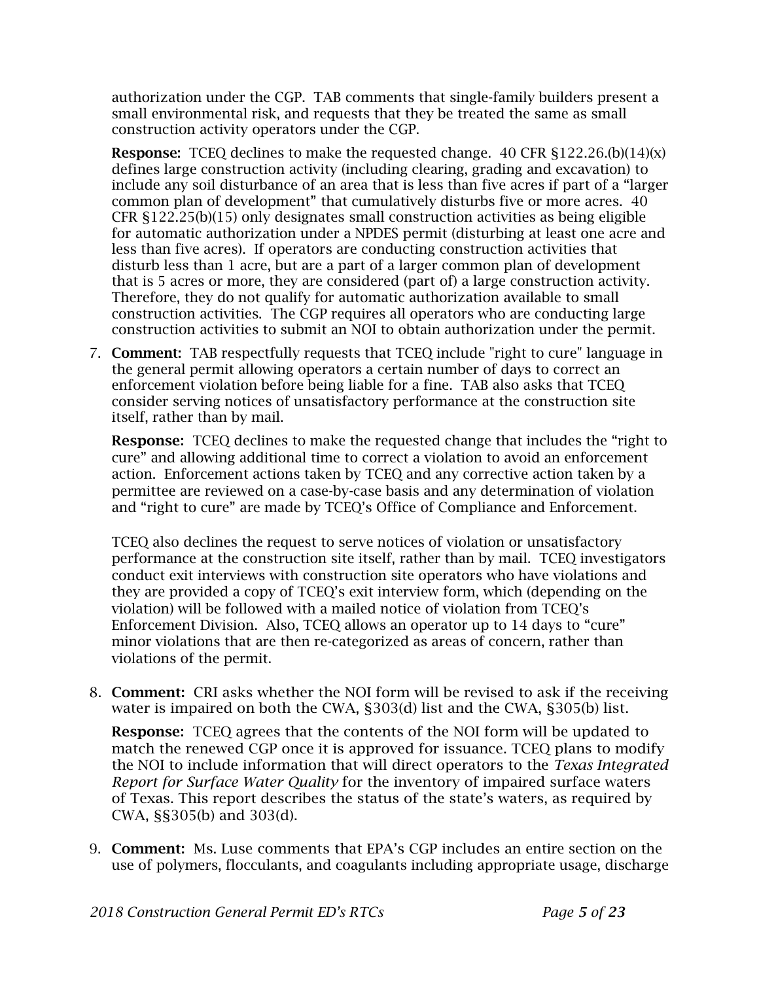authorization under the CGP. TAB comments that single-family builders present a small environmental risk, and requests that they be treated the same as small construction activity operators under the CGP.

**Response:** TCEO declines to make the requested change. 40 CFR  $$122.26(b)(14)(x)$ defines large construction activity (including clearing, grading and excavation) to include any soil disturbance of an area that is less than five acres if part of a "larger common plan of development" that cumulatively disturbs five or more acres. 40  $CFR$   $\S 122.25(b)(15)$  only designates small construction activities as being eligible for automatic authorization under a NPDES permit (disturbing at least one acre and less than five acres). If operators are conducting construction activities that disturb less than 1 acre, but are a part of a larger common plan of development that is 5 acres or more, they are considered (part of) a large construction activity. Therefore, they do not qualify for automatic authorization available to small construction activities. The CGP requires all operators who are conducting large construction activities to submit an NOI to obtain authorization under the permit.

7. Comment: TAB respectfully requests that TCEQ include "right to cure" language in the general permit allowing operators a certain number of days to correct an enforcement violation before being liable for a fine. TAB also asks that TCEQ consider serving notices of unsatisfactory performance at the construction site itself, rather than by mail.

**Response:** TCEQ declines to make the requested change that includes the "right to cure" and allowing additional time to correct a violation to avoid an enforcement action. Enforcement actions taken by TCEQ and any corrective action taken by a permittee are reviewed on a case-by-case basis and any determination of violation and "right to cure" are made by TCEQ's Office of Compliance and Enforcement.

TCEQ also declines the request to serve notices of violation or unsatisfactory performance at the construction site itself, rather than by mail. TCEQ investigators conduct exit interviews with construction site operators who have violations and they are provided a copy of TCEQ's exit interview form, which (depending on the violation) will be followed with a mailed notice of violation from TCEQ's Enforcement Division. Also, TCEQ allows an operator up to 14 days to "cure" minor violations that are then re-categorized as areas of concern, rather than violations of the permit.

8. Comment: CRI asks whether the NOI form will be revised to ask if the receiving water is impaired on both the CWA, §303(d) list and the CWA, §305(b) list.

Response: TCEQ agrees that the contents of the NOI form will be updated to match the renewed CGP once it is approved for issuance. TCEQ plans to modify the NOI to include information that will direct operators to the *Texas Integrated Report for Surface Water Quality* for the inventory of impaired surface waters of Texas. This report describes the status of the state's waters, as required by CWA, §§305(b) and 303(d).

9. Comment: Ms. Luse comments that EPA's CGP includes an entire section on the use of polymers, flocculants, and coagulants including appropriate usage, discharge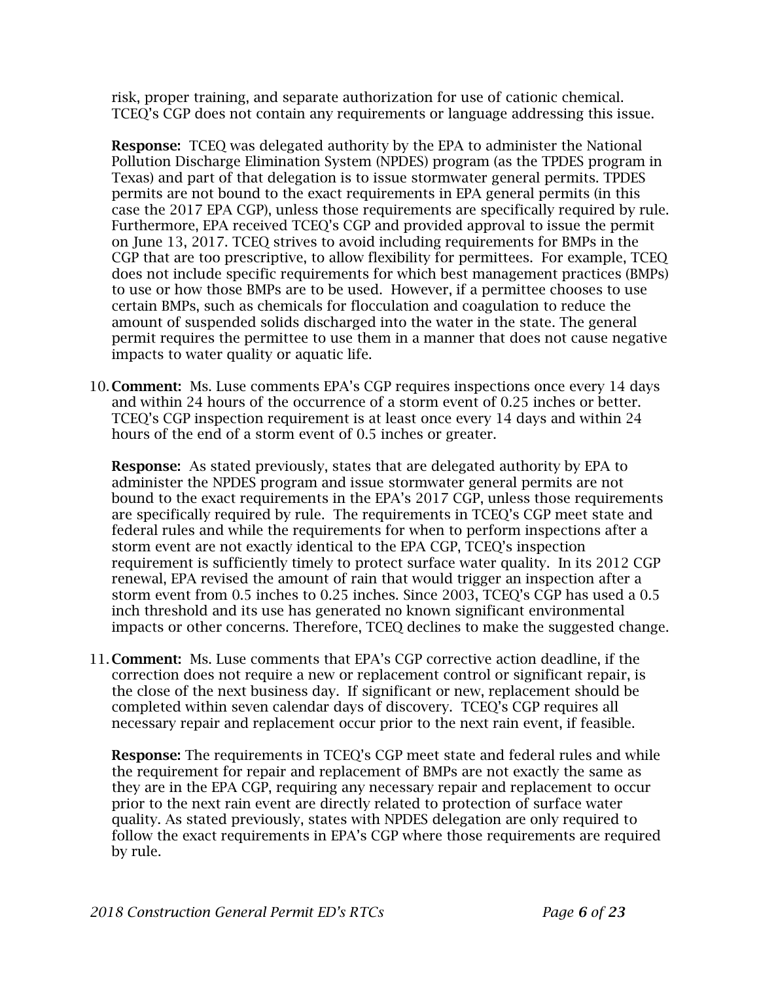risk, proper training, and separate authorization for use of cationic chemical. TCEQ's CGP does not contain any requirements or language addressing this issue.

Response: TCEQ was delegated authority by the EPA to administer the National Pollution Discharge Elimination System (NPDES) program (as the TPDES program in Texas) and part of that delegation is to issue stormwater general permits. TPDES permits are not bound to the exact requirements in EPA general permits (in this case the 2017 EPA CGP), unless those requirements are specifically required by rule. Furthermore, EPA received TCEQ's CGP and provided approval to issue the permit on June 13, 2017. TCEQ strives to avoid including requirements for BMPs in the CGP that are too prescriptive, to allow flexibility for permittees. For example, TCEQ does not include specific requirements for which best management practices (BMPs) to use or how those BMPs are to be used. However, if a permittee chooses to use certain BMPs, such as chemicals for flocculation and coagulation to reduce the amount of suspended solids discharged into the water in the state. The general permit requires the permittee to use them in a manner that does not cause negative impacts to water quality or aquatic life.

10. Comment: Ms. Luse comments EPA's CGP requires inspections once every 14 days and within 24 hours of the occurrence of a storm event of 0.25 inches or better. TCEQ's CGP inspection requirement is at least once every 14 days and within 24 hours of the end of a storm event of 0.5 inches or greater.

Response: As stated previously, states that are delegated authority by EPA to administer the NPDES program and issue stormwater general permits are not bound to the exact requirements in the EPA's 2017 CGP, unless those requirements are specifically required by rule. The requirements in TCEQ's CGP meet state and federal rules and while the requirements for when to perform inspections after a storm event are not exactly identical to the EPA CGP, TCEQ's inspection requirement is sufficiently timely to protect surface water quality. In its 2012 CGP renewal, EPA revised the amount of rain that would trigger an inspection after a storm event from 0.5 inches to 0.25 inches. Since 2003, TCEQ's CGP has used a 0.5 inch threshold and its use has generated no known significant environmental impacts or other concerns. Therefore, TCEQ declines to make the suggested change.

11. Comment: Ms. Luse comments that EPA's CGP corrective action deadline, if the correction does not require a new or replacement control or significant repair, is the close of the next business day. If significant or new, replacement should be completed within seven calendar days of discovery. TCEQ's CGP requires all necessary repair and replacement occur prior to the next rain event, if feasible.

Response: The requirements in TCEQ's CGP meet state and federal rules and while the requirement for repair and replacement of BMPs are not exactly the same as they are in the EPA CGP, requiring any necessary repair and replacement to occur prior to the next rain event are directly related to protection of surface water quality. As stated previously, states with NPDES delegation are only required to follow the exact requirements in EPA's CGP where those requirements are required by rule.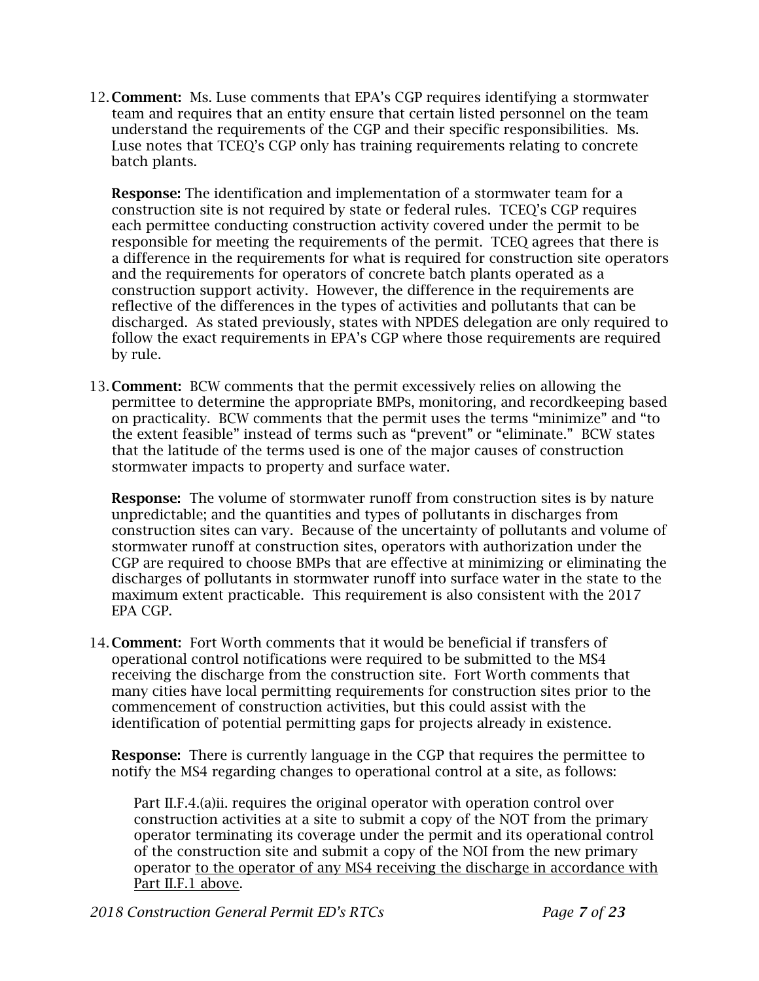12. Comment: Ms. Luse comments that EPA's CGP requires identifying a stormwater team and requires that an entity ensure that certain listed personnel on the team understand the requirements of the CGP and their specific responsibilities. Ms. Luse notes that TCEQ's CGP only has training requirements relating to concrete batch plants.

Response: The identification and implementation of a stormwater team for a construction site is not required by state or federal rules. TCEQ's CGP requires each permittee conducting construction activity covered under the permit to be responsible for meeting the requirements of the permit. TCEQ agrees that there is a difference in the requirements for what is required for construction site operators and the requirements for operators of concrete batch plants operated as a construction support activity. However, the difference in the requirements are reflective of the differences in the types of activities and pollutants that can be discharged. As stated previously, states with NPDES delegation are only required to follow the exact requirements in EPA's CGP where those requirements are required by rule.

13. Comment: BCW comments that the permit excessively relies on allowing the permittee to determine the appropriate BMPs, monitoring, and recordkeeping based on practicality. BCW comments that the permit uses the terms "minimize" and "to the extent feasible" instead of terms such as "prevent" or "eliminate." BCW states that the latitude of the terms used is one of the major causes of construction stormwater impacts to property and surface water.

Response: The volume of stormwater runoff from construction sites is by nature unpredictable; and the quantities and types of pollutants in discharges from construction sites can vary. Because of the uncertainty of pollutants and volume of stormwater runoff at construction sites, operators with authorization under the CGP are required to choose BMPs that are effective at minimizing or eliminating the discharges of pollutants in stormwater runoff into surface water in the state to the maximum extent practicable. This requirement is also consistent with the 2017 EPA CGP.

14. Comment: Fort Worth comments that it would be beneficial if transfers of operational control notifications were required to be submitted to the MS4 receiving the discharge from the construction site. Fort Worth comments that many cities have local permitting requirements for construction sites prior to the commencement of construction activities, but this could assist with the identification of potential permitting gaps for projects already in existence.

Response: There is currently language in the CGP that requires the permittee to notify the MS4 regarding changes to operational control at a site, as follows:

Part II.F.4.(a)ii. requires the original operator with operation control over construction activities at a site to submit a copy of the NOT from the primary operator terminating its coverage under the permit and its operational control of the construction site and submit a copy of the NOI from the new primary operator to the operator of any MS4 receiving the discharge in accordance with Part II.F.1 above.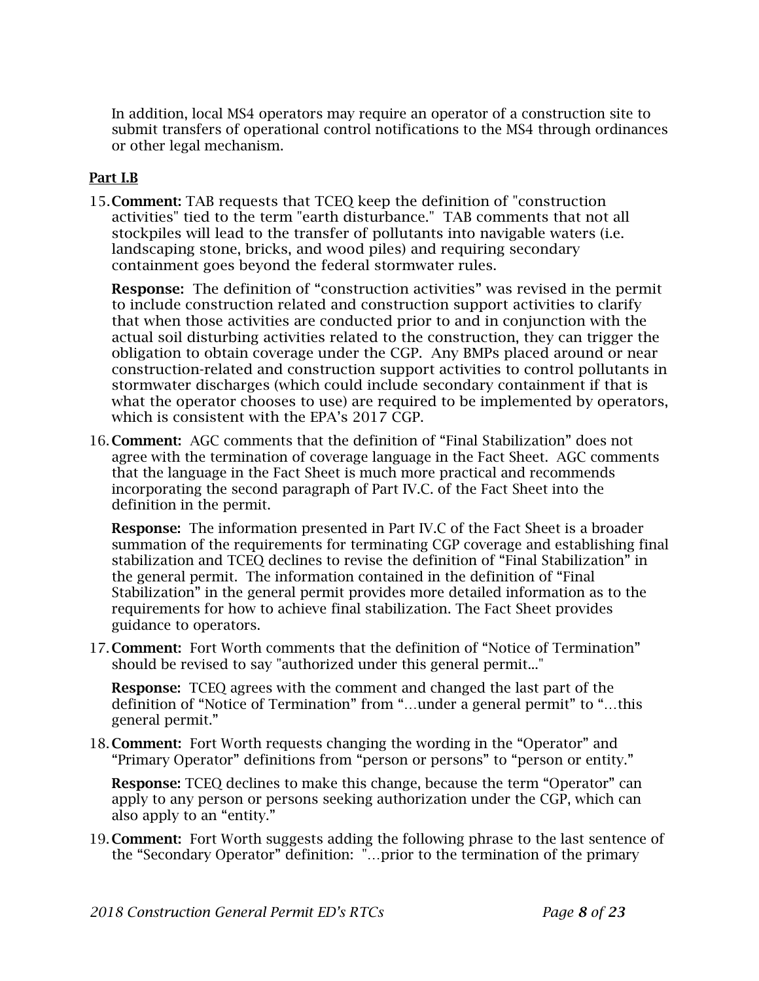In addition, local MS4 operators may require an operator of a construction site to submit transfers of operational control notifications to the MS4 through ordinances or other legal mechanism.

### Part I.B

15.Comment: TAB requests that TCEQ keep the definition of "construction activities" tied to the term "earth disturbance." TAB comments that not all stockpiles will lead to the transfer of pollutants into navigable waters (i.e. landscaping stone, bricks, and wood piles) and requiring secondary containment goes beyond the federal stormwater rules.

**Response:** The definition of "construction activities" was revised in the permit to include construction related and construction support activities to clarify that when those activities are conducted prior to and in conjunction with the actual soil disturbing activities related to the construction, they can trigger the obligation to obtain coverage under the CGP. Any BMPs placed around or near construction-related and construction support activities to control pollutants in stormwater discharges (which could include secondary containment if that is what the operator chooses to use) are required to be implemented by operators, which is consistent with the EPA's 2017 CGP.

16. Comment: AGC comments that the definition of "Final Stabilization" does not agree with the termination of coverage language in the Fact Sheet. AGC comments that the language in the Fact Sheet is much more practical and recommends incorporating the second paragraph of Part IV.C. of the Fact Sheet into the definition in the permit.

Response: The information presented in Part IV.C of the Fact Sheet is a broader summation of the requirements for terminating CGP coverage and establishing final stabilization and TCEQ declines to revise the definition of "Final Stabilization" in the general permit. The information contained in the definition of "Final Stabilization" in the general permit provides more detailed information as to the requirements for how to achieve final stabilization. The Fact Sheet provides guidance to operators.

17. Comment: Fort Worth comments that the definition of "Notice of Termination" should be revised to say "authorized under this general permit..."

Response: TCEQ agrees with the comment and changed the last part of the definition of "Notice of Termination" from "…under a general permit" to "…this general permit."

18. Comment: Fort Worth requests changing the wording in the "Operator" and "Primary Operator" definitions from "person or persons" to "person or entity."

Response: TCEQ declines to make this change, because the term "Operator" can apply to any person or persons seeking authorization under the CGP, which can also apply to an "entity."

19. Comment: Fort Worth suggests adding the following phrase to the last sentence of the "Secondary Operator" definition: "…prior to the termination of the primary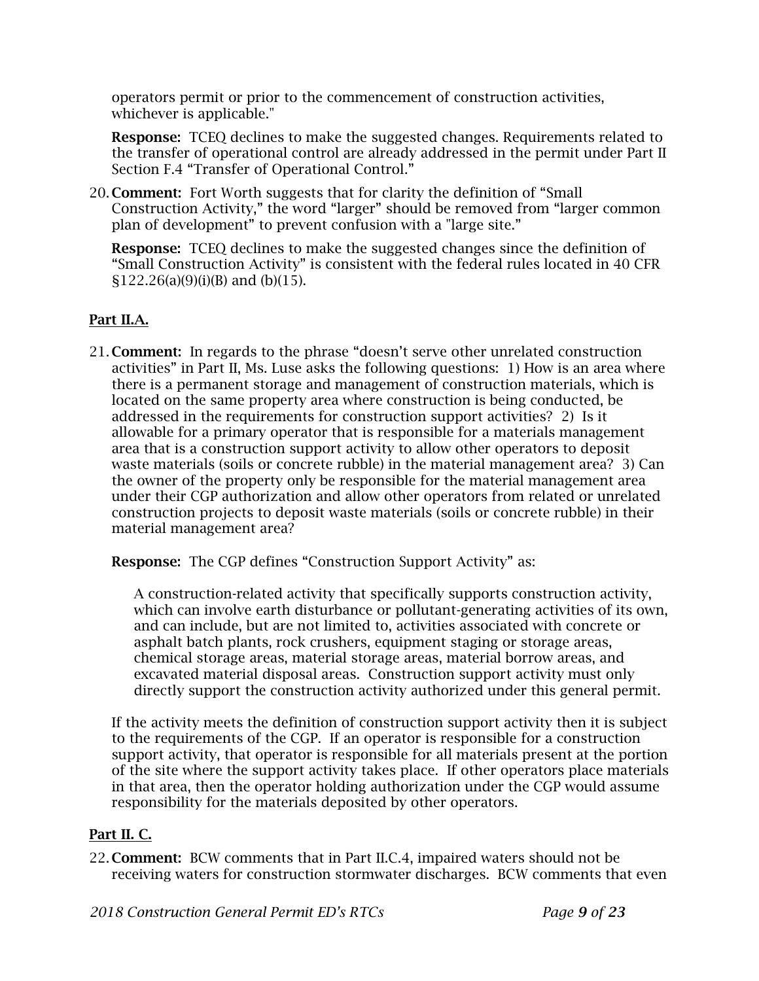operators permit or prior to the commencement of construction activities, whichever is applicable."

**Response:** TCEQ declines to make the suggested changes. Requirements related to the transfer of operational control are already addressed in the permit under Part II Section F.4 "Transfer of Operational Control."

20. Comment: Fort Worth suggests that for clarity the definition of "Small Construction Activity," the word "larger" should be removed from "larger common plan of development" to prevent confusion with a "large site."

**Response:** TCEQ declines to make the suggested changes since the definition of "Small Construction Activity" is consistent with the federal rules located in 40 CFR  $$122.26(a)(9)(i)(B)$  and (b)(15).

## Part II.A.

21. Comment: In regards to the phrase "doesn't serve other unrelated construction activities" in Part II, Ms. Luse asks the following questions: 1) How is an area where there is a permanent storage and management of construction materials, which is located on the same property area where construction is being conducted, be addressed in the requirements for construction support activities? 2) Is it allowable for a primary operator that is responsible for a materials management area that is a construction support activity to allow other operators to deposit waste materials (soils or concrete rubble) in the material management area? 3) Can the owner of the property only be responsible for the material management area under their CGP authorization and allow other operators from related or unrelated construction projects to deposit waste materials (soils or concrete rubble) in their material management area?

Response: The CGP defines "Construction Support Activity" as:

A construction-related activity that specifically supports construction activity, which can involve earth disturbance or pollutant-generating activities of its own, and can include, but are not limited to, activities associated with concrete or asphalt batch plants, rock crushers, equipment staging or storage areas, chemical storage areas, material storage areas, material borrow areas, and excavated material disposal areas. Construction support activity must only directly support the construction activity authorized under this general permit.

If the activity meets the definition of construction support activity then it is subject to the requirements of the CGP. If an operator is responsible for a construction support activity, that operator is responsible for all materials present at the portion of the site where the support activity takes place. If other operators place materials in that area, then the operator holding authorization under the CGP would assume responsibility for the materials deposited by other operators.

# Part II. C.

22. Comment: BCW comments that in Part II.C.4, impaired waters should not be receiving waters for construction stormwater discharges. BCW comments that even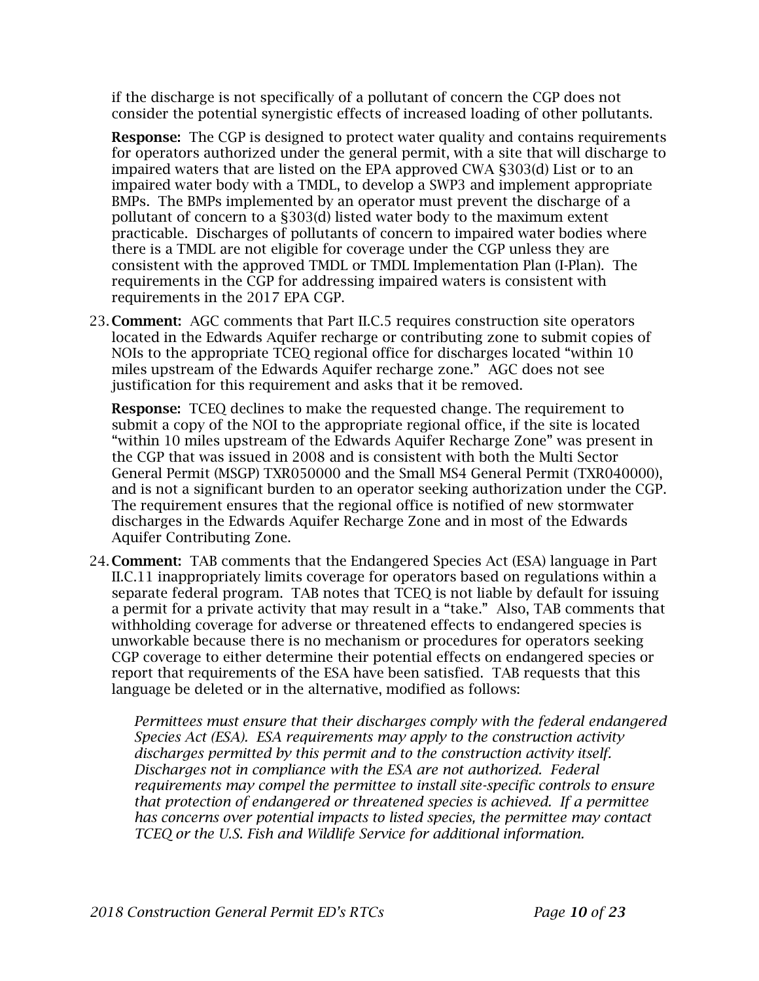if the discharge is not specifically of a pollutant of concern the CGP does not consider the potential synergistic effects of increased loading of other pollutants.

**Response:** The CGP is designed to protect water quality and contains requirements for operators authorized under the general permit, with a site that will discharge to impaired waters that are listed on the EPA approved CWA §303(d) List or to an impaired water body with a TMDL, to develop a SWP3 and implement appropriate BMPs. The BMPs implemented by an operator must prevent the discharge of a pollutant of concern to a §303(d) listed water body to the maximum extent practicable. Discharges of pollutants of concern to impaired water bodies where there is a TMDL are not eligible for coverage under the CGP unless they are consistent with the approved TMDL or TMDL Implementation Plan (I-Plan). The requirements in the CGP for addressing impaired waters is consistent with requirements in the 2017 EPA CGP.

23. Comment: AGC comments that Part II.C.5 requires construction site operators located in the Edwards Aquifer recharge or contributing zone to submit copies of NOIs to the appropriate TCEQ regional office for discharges located "within 10 miles upstream of the Edwards Aquifer recharge zone." AGC does not see justification for this requirement and asks that it be removed.

Response: TCEQ declines to make the requested change. The requirement to submit a copy of the NOI to the appropriate regional office, if the site is located "within 10 miles upstream of the Edwards Aquifer Recharge Zone" was present in the CGP that was issued in 2008 and is consistent with both the Multi Sector General Permit (MSGP) TXR050000 and the Small MS4 General Permit (TXR040000), and is not a significant burden to an operator seeking authorization under the CGP. The requirement ensures that the regional office is notified of new stormwater discharges in the Edwards Aquifer Recharge Zone and in most of the Edwards Aquifer Contributing Zone.

24. Comment: TAB comments that the Endangered Species Act (ESA) language in Part II.C.11 inappropriately limits coverage for operators based on regulations within a separate federal program. TAB notes that TCEQ is not liable by default for issuing a permit for a private activity that may result in a "take." Also, TAB comments that withholding coverage for adverse or threatened effects to endangered species is unworkable because there is no mechanism or procedures for operators seeking CGP coverage to either determine their potential effects on endangered species or report that requirements of the ESA have been satisfied. TAB requests that this language be deleted or in the alternative, modified as follows:

*Permittees must ensure that their discharges comply with the federal endangered Species Act (ESA). ESA requirements may apply to the construction activity discharges permitted by this permit and to the construction activity itself. Discharges not in compliance with the ESA are not authorized. Federal requirements may compel the permittee to install site-specific controls to ensure that protection of endangered or threatened species is achieved. If a permittee has concerns over potential impacts to listed species, the permittee may contact TCEQ or the U.S. Fish and Wildlife Service for additional information.*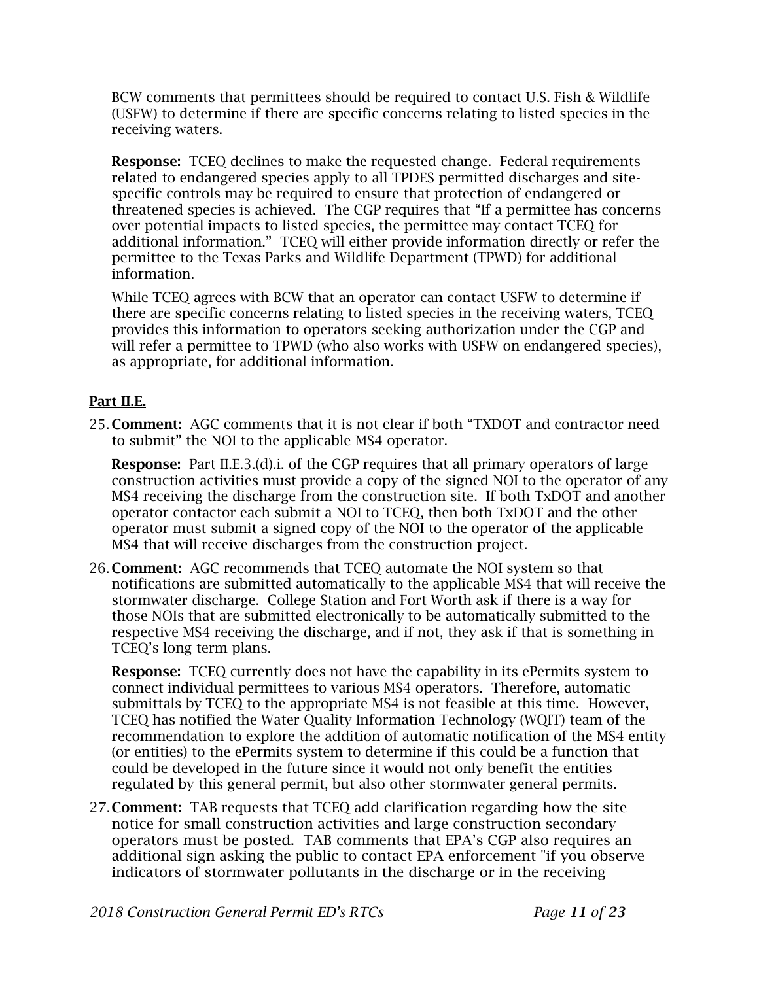BCW comments that permittees should be required to contact U.S. Fish & Wildlife (USFW) to determine if there are specific concerns relating to listed species in the receiving waters.

Response: TCEQ declines to make the requested change. Federal requirements related to endangered species apply to all TPDES permitted discharges and sitespecific controls may be required to ensure that protection of endangered or threatened species is achieved. The CGP requires that "If a permittee has concerns over potential impacts to listed species, the permittee may contact TCEQ for additional information." TCEQ will either provide information directly or refer the permittee to the Texas Parks and Wildlife Department (TPWD) for additional information.

While TCEQ agrees with BCW that an operator can contact USFW to determine if there are specific concerns relating to listed species in the receiving waters, TCEQ provides this information to operators seeking authorization under the CGP and will refer a permittee to TPWD (who also works with USFW on endangered species), as appropriate, for additional information.

## Part II.E.

25. Comment: AGC comments that it is not clear if both "TXDOT and contractor need to submit" the NOI to the applicable MS4 operator.

Response: Part II.E.3.(d).i. of the CGP requires that all primary operators of large construction activities must provide a copy of the signed NOI to the operator of any MS4 receiving the discharge from the construction site. If both TxDOT and another operator contactor each submit a NOI to TCEQ, then both TxDOT and the other operator must submit a signed copy of the NOI to the operator of the applicable MS4 that will receive discharges from the construction project.

26. Comment: AGC recommends that TCEQ automate the NOI system so that notifications are submitted automatically to the applicable MS4 that will receive the stormwater discharge. College Station and Fort Worth ask if there is a way for those NOIs that are submitted electronically to be automatically submitted to the respective MS4 receiving the discharge, and if not, they ask if that is something in TCEQ's long term plans.

**Response:** TCEQ currently does not have the capability in its ePermits system to connect individual permittees to various MS4 operators. Therefore, automatic submittals by TCEQ to the appropriate MS4 is not feasible at this time. However, TCEQ has notified the Water Quality Information Technology (WQIT) team of the recommendation to explore the addition of automatic notification of the MS4 entity (or entities) to the ePermits system to determine if this could be a function that could be developed in the future since it would not only benefit the entities regulated by this general permit, but also other stormwater general permits.

27.Comment: TAB requests that TCEQ add clarification regarding how the site notice for small construction activities and large construction secondary operators must be posted. TAB comments that EPA's CGP also requires an additional sign asking the public to contact EPA enforcement "if you observe indicators of stormwater pollutants in the discharge or in the receiving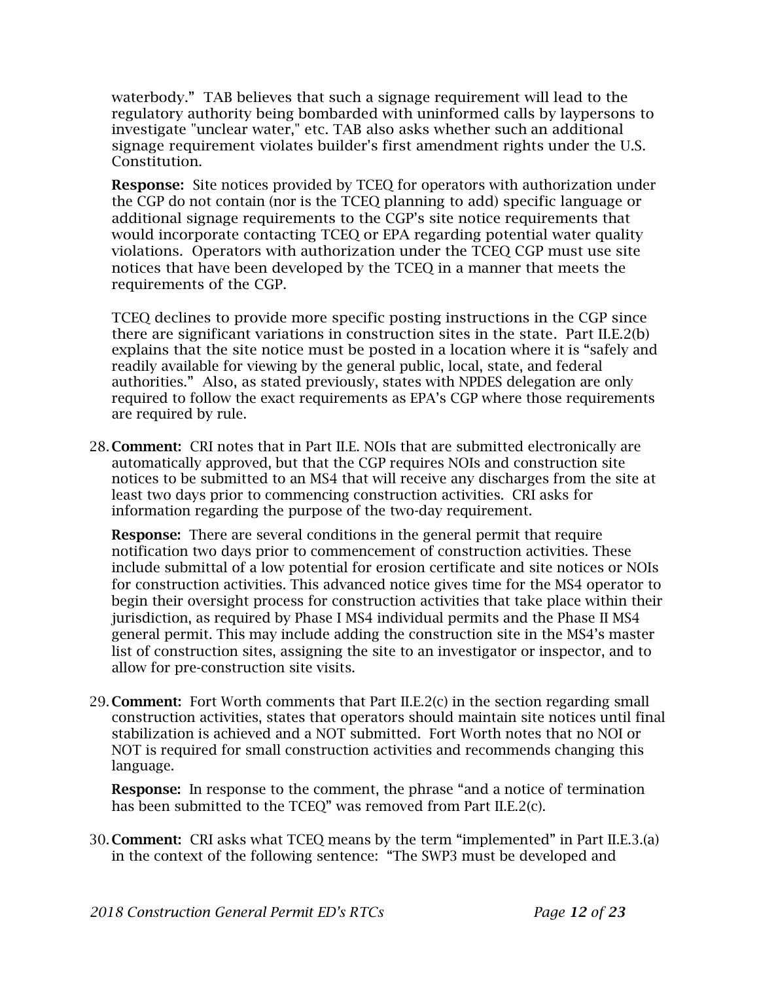waterbody." TAB believes that such a signage requirement will lead to the regulatory authority being bombarded with uninformed calls by laypersons to investigate "unclear water," etc. TAB also asks whether such an additional signage requirement violates builder's first amendment rights under the U.S. Constitution.

**Response:** Site notices provided by TCEO for operators with authorization under the CGP do not contain (nor is the TCEQ planning to add) specific language or additional signage requirements to the CGP's site notice requirements that would incorporate contacting TCEQ or EPA regarding potential water quality violations. Operators with authorization under the TCEQ CGP must use site notices that have been developed by the TCEQ in a manner that meets the requirements of the CGP.

TCEQ declines to provide more specific posting instructions in the CGP since there are significant variations in construction sites in the state. Part II.E.2(b) explains that the site notice must be posted in a location where it is "safely and readily available for viewing by the general public, local, state, and federal authorities." Also, as stated previously, states with NPDES delegation are only required to follow the exact requirements as EPA's CGP where those requirements are required by rule.

28. Comment: CRI notes that in Part II.E. NOIs that are submitted electronically are automatically approved, but that the CGP requires NOIs and construction site notices to be submitted to an MS4 that will receive any discharges from the site at least two days prior to commencing construction activities. CRI asks for information regarding the purpose of the two-day requirement.

Response: There are several conditions in the general permit that require notification two days prior to commencement of construction activities. These include submittal of a low potential for erosion certificate and site notices or NOIs for construction activities. This advanced notice gives time for the MS4 operator to begin their oversight process for construction activities that take place within their jurisdiction, as required by Phase I MS4 individual permits and the Phase II MS4 general permit. This may include adding the construction site in the MS4's master list of construction sites, assigning the site to an investigator or inspector, and to allow for pre-construction site visits.

29. Comment: Fort Worth comments that Part II.E.2(c) in the section regarding small construction activities, states that operators should maintain site notices until final stabilization is achieved and a NOT submitted. Fort Worth notes that no NOI or NOT is required for small construction activities and recommends changing this language.

Response: In response to the comment, the phrase "and a notice of termination has been submitted to the TCEQ" was removed from Part II.E.2(c).

30. Comment: CRI asks what TCEQ means by the term "implemented" in Part II.E.3.(a) in the context of the following sentence: "The SWP3 must be developed and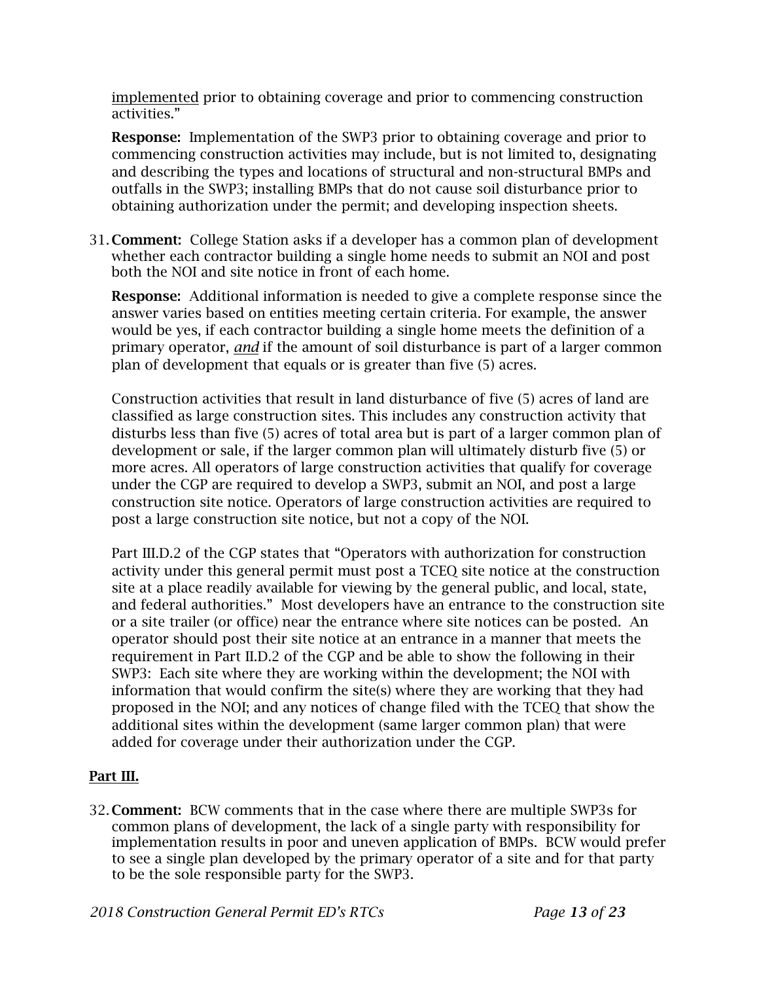implemented prior to obtaining coverage and prior to commencing construction activities."

Response: Implementation of the SWP3 prior to obtaining coverage and prior to commencing construction activities may include, but is not limited to, designating and describing the types and locations of structural and non-structural BMPs and outfalls in the SWP3; installing BMPs that do not cause soil disturbance prior to obtaining authorization under the permit; and developing inspection sheets.

31. Comment: College Station asks if a developer has a common plan of development whether each contractor building a single home needs to submit an NOI and post both the NOI and site notice in front of each home.

Response: Additional information is needed to give a complete response since the answer varies based on entities meeting certain criteria. For example, the answer would be yes, if each contractor building a single home meets the definition of a primary operator, *and* if the amount of soil disturbance is part of a larger common plan of development that equals or is greater than five (5) acres.

Construction activities that result in land disturbance of five (5) acres of land are classified as large construction sites. This includes any construction activity that disturbs less than five (5) acres of total area but is part of a larger common plan of development or sale, if the larger common plan will ultimately disturb five (5) or more acres. All operators of large construction activities that qualify for coverage under the CGP are required to develop a SWP3, submit an NOI, and post a large construction site notice. Operators of large construction activities are required to post a large construction site notice, but not a copy of the NOI.

Part III.D.2 of the CGP states that "Operators with authorization for construction activity under this general permit must post a TCEQ site notice at the construction site at a place readily available for viewing by the general public, and local, state, and federal authorities." Most developers have an entrance to the construction site or a site trailer (or office) near the entrance where site notices can be posted. An operator should post their site notice at an entrance in a manner that meets the requirement in Part II.D.2 of the CGP and be able to show the following in their SWP3: Each site where they are working within the development; the NOI with information that would confirm the site(s) where they are working that they had proposed in the NOI; and any notices of change filed with the TCEQ that show the additional sites within the development (same larger common plan) that were added for coverage under their authorization under the CGP.

# Part III.

32. Comment: BCW comments that in the case where there are multiple SWP3s for common plans of development, the lack of a single party with responsibility for implementation results in poor and uneven application of BMPs. BCW would prefer to see a single plan developed by the primary operator of a site and for that party to be the sole responsible party for the SWP3.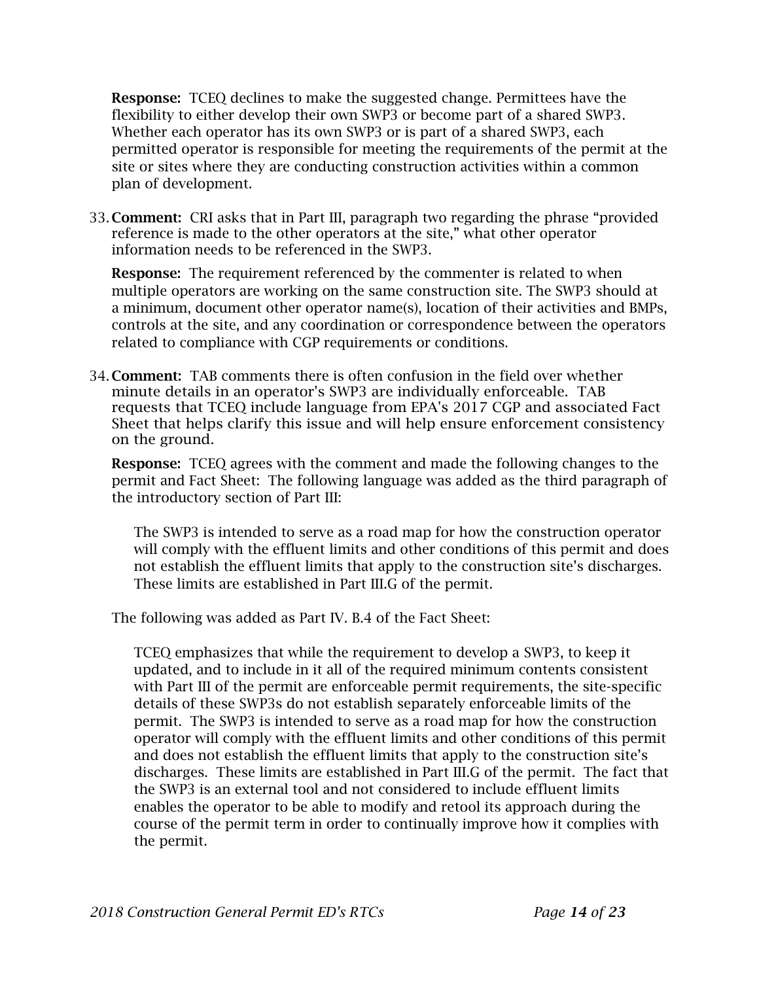Response: TCEQ declines to make the suggested change. Permittees have the flexibility to either develop their own SWP3 or become part of a shared SWP3. Whether each operator has its own SWP3 or is part of a shared SWP3, each permitted operator is responsible for meeting the requirements of the permit at the site or sites where they are conducting construction activities within a common plan of development.

33. Comment: CRI asks that in Part III, paragraph two regarding the phrase "provided reference is made to the other operators at the site," what other operator information needs to be referenced in the SWP3.

Response: The requirement referenced by the commenter is related to when multiple operators are working on the same construction site. The SWP3 should at a minimum, document other operator name(s), location of their activities and BMPs, controls at the site, and any coordination or correspondence between the operators related to compliance with CGP requirements or conditions.

34. Comment: TAB comments there is often confusion in the field over whether minute details in an operator's SWP3 are individually enforceable. TAB requests that TCEQ include language from EPA's 2017 CGP and associated Fact Sheet that helps clarify this issue and will help ensure enforcement consistency on the ground.

Response: TCEQ agrees with the comment and made the following changes to the permit and Fact Sheet: The following language was added as the third paragraph of the introductory section of Part III:

The SWP3 is intended to serve as a road map for how the construction operator will comply with the effluent limits and other conditions of this permit and does not establish the effluent limits that apply to the construction site's discharges. These limits are established in Part III.G of the permit.

The following was added as Part IV. B.4 of the Fact Sheet:

TCEQ emphasizes that while the requirement to develop a SWP3, to keep it updated, and to include in it all of the required minimum contents consistent with Part III of the permit are enforceable permit requirements, the site-specific details of these SWP3s do not establish separately enforceable limits of the permit. The SWP3 is intended to serve as a road map for how the construction operator will comply with the effluent limits and other conditions of this permit and does not establish the effluent limits that apply to the construction site's discharges. These limits are established in Part III.G of the permit. The fact that the SWP3 is an external tool and not considered to include effluent limits enables the operator to be able to modify and retool its approach during the course of the permit term in order to continually improve how it complies with the permit.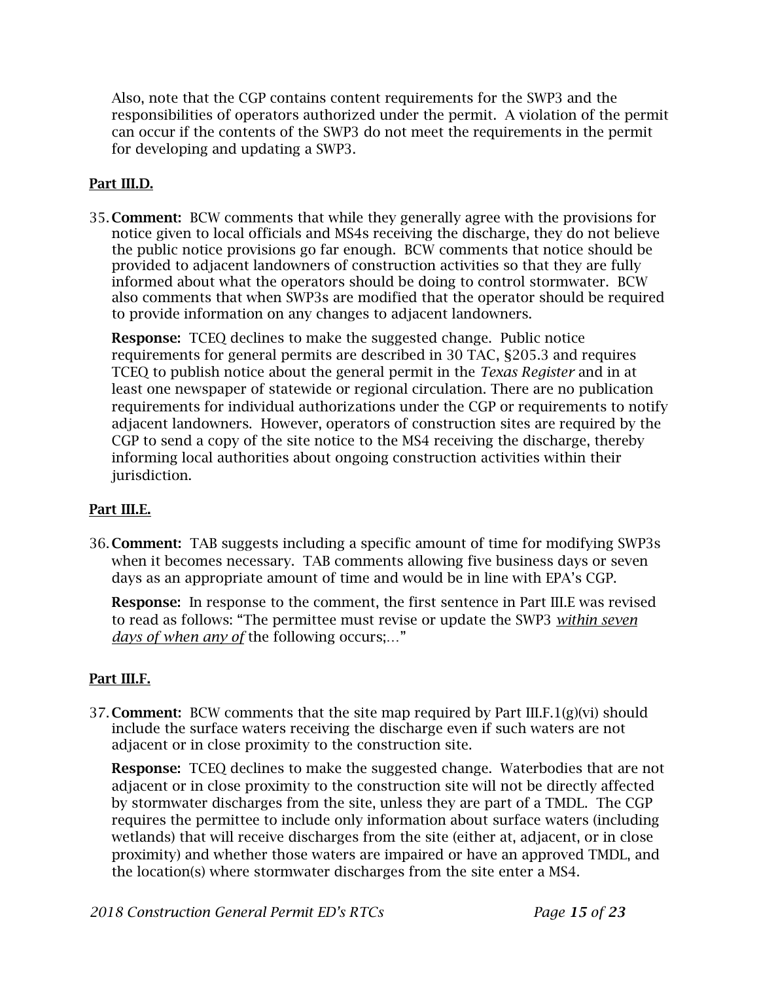Also, note that the CGP contains content requirements for the SWP3 and the responsibilities of operators authorized under the permit. A violation of the permit can occur if the contents of the SWP3 do not meet the requirements in the permit for developing and updating a SWP3.

## Part III.D.

35. Comment: BCW comments that while they generally agree with the provisions for notice given to local officials and MS4s receiving the discharge, they do not believe the public notice provisions go far enough. BCW comments that notice should be provided to adjacent landowners of construction activities so that they are fully informed about what the operators should be doing to control stormwater. BCW also comments that when SWP3s are modified that the operator should be required to provide information on any changes to adjacent landowners.

**Response:** TCEQ declines to make the suggested change. Public notice requirements for general permits are described in 30 TAC, §205.3 and requires TCEQ to publish notice about the general permit in the *Texas Register* and in at least one newspaper of statewide or regional circulation. There are no publication requirements for individual authorizations under the CGP or requirements to notify adjacent landowners. However, operators of construction sites are required by the CGP to send a copy of the site notice to the MS4 receiving the discharge, thereby informing local authorities about ongoing construction activities within their jurisdiction.

## Part III.E.

36. Comment: TAB suggests including a specific amount of time for modifying SWP3s when it becomes necessary. TAB comments allowing five business days or seven days as an appropriate amount of time and would be in line with EPA's CGP.

Response: In response to the comment, the first sentence in Part III.E was revised to read as follows: "The permittee must revise or update the SWP3 *within seven days of when any of* the following occurs;…"

## Part III.F.

37. **Comment:** BCW comments that the site map required by Part III.F.1(g)(vi) should include the surface waters receiving the discharge even if such waters are not adjacent or in close proximity to the construction site.

**Response:** TCEQ declines to make the suggested change. Waterbodies that are not adjacent or in close proximity to the construction site will not be directly affected by stormwater discharges from the site, unless they are part of a TMDL. The CGP requires the permittee to include only information about surface waters (including wetlands) that will receive discharges from the site (either at, adjacent, or in close proximity) and whether those waters are impaired or have an approved TMDL, and the location(s) where stormwater discharges from the site enter a MS4.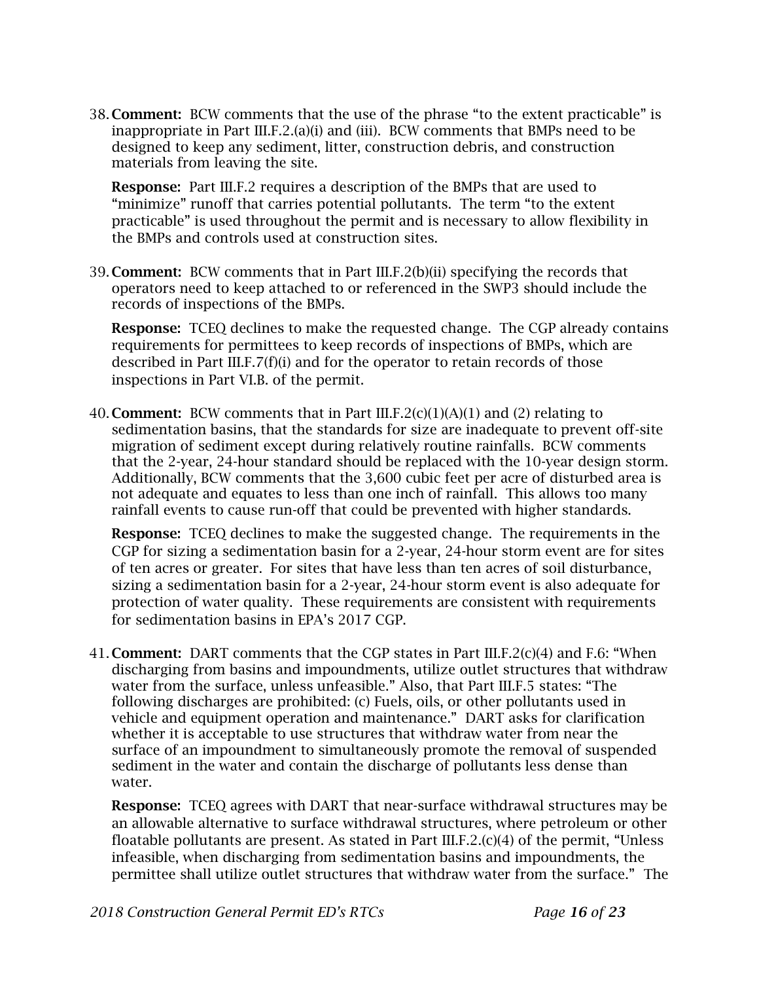38. Comment: BCW comments that the use of the phrase "to the extent practicable" is inappropriate in Part III.F.2.(a)(i) and (iii). BCW comments that BMPs need to be designed to keep any sediment, litter, construction debris, and construction materials from leaving the site.

Response: Part III.F.2 requires a description of the BMPs that are used to "minimize" runoff that carries potential pollutants. The term "to the extent practicable" is used throughout the permit and is necessary to allow flexibility in the BMPs and controls used at construction sites.

39. Comment: BCW comments that in Part III.F.2(b)(ii) specifying the records that operators need to keep attached to or referenced in the SWP3 should include the records of inspections of the BMPs.

**Response:** TCEQ declines to make the requested change. The CGP already contains requirements for permittees to keep records of inspections of BMPs, which are described in Part III.F.7(f)(i) and for the operator to retain records of those inspections in Part VI.B. of the permit.

40. **Comment:** BCW comments that in Part III.F.2(c)(1)(A)(1) and (2) relating to sedimentation basins, that the standards for size are inadequate to prevent off-site migration of sediment except during relatively routine rainfalls. BCW comments that the 2-year, 24-hour standard should be replaced with the 10-year design storm. Additionally, BCW comments that the 3,600 cubic feet per acre of disturbed area is not adequate and equates to less than one inch of rainfall. This allows too many rainfall events to cause run-off that could be prevented with higher standards.

Response: TCEQ declines to make the suggested change. The requirements in the CGP for sizing a sedimentation basin for a 2-year, 24-hour storm event are for sites of ten acres or greater. For sites that have less than ten acres of soil disturbance, sizing a sedimentation basin for a 2-year, 24-hour storm event is also adequate for protection of water quality. These requirements are consistent with requirements for sedimentation basins in EPA's 2017 CGP.

41. Comment: DART comments that the CGP states in Part III.F.2(c)(4) and F.6: "When discharging from basins and impoundments, utilize outlet structures that withdraw water from the surface, unless unfeasible." Also, that Part III.F.5 states: "The following discharges are prohibited: (c) Fuels, oils, or other pollutants used in vehicle and equipment operation and maintenance." DART asks for clarification whether it is acceptable to use structures that withdraw water from near the surface of an impoundment to simultaneously promote the removal of suspended sediment in the water and contain the discharge of pollutants less dense than water.

Response: TCEQ agrees with DART that near-surface withdrawal structures may be an allowable alternative to surface withdrawal structures, where petroleum or other floatable pollutants are present. As stated in Part III.F.2.(c)(4) of the permit, "Unless infeasible, when discharging from sedimentation basins and impoundments, the permittee shall utilize outlet structures that withdraw water from the surface." The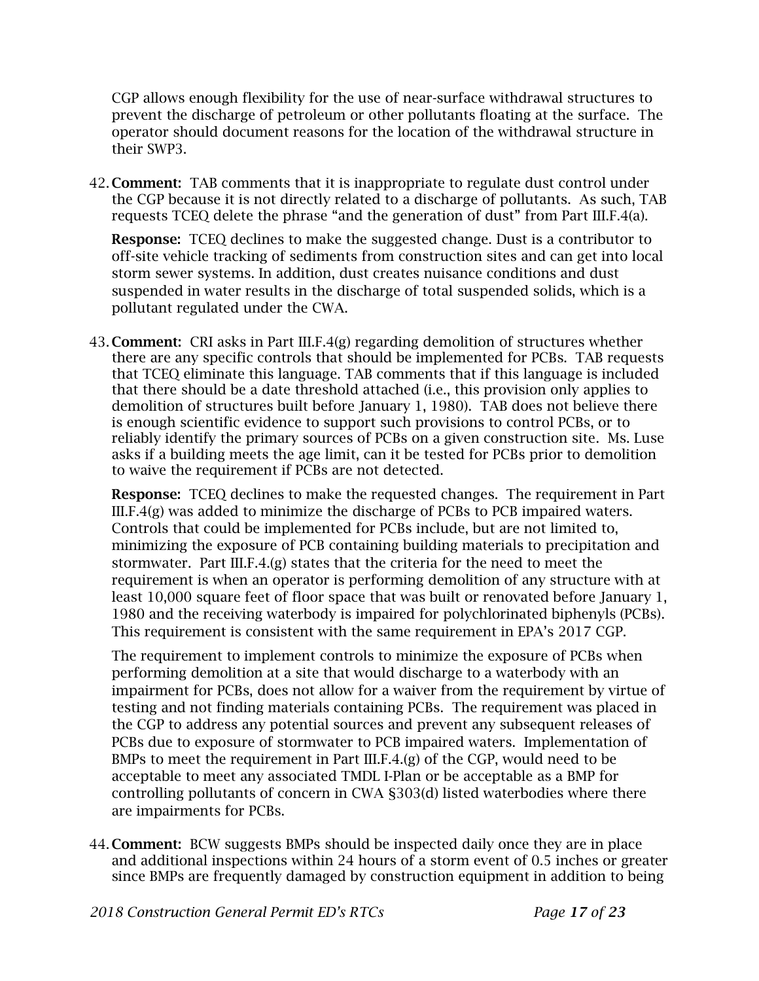CGP allows enough flexibility for the use of near-surface withdrawal structures to prevent the discharge of petroleum or other pollutants floating at the surface. The operator should document reasons for the location of the withdrawal structure in their SWP3.

42. **Comment:** TAB comments that it is inappropriate to regulate dust control under the CGP because it is not directly related to a discharge of pollutants. As such, TAB requests TCEQ delete the phrase "and the generation of dust" from Part III.F.4(a).

**Response:** TCEQ declines to make the suggested change. Dust is a contributor to off-site vehicle tracking of sediments from construction sites and can get into local storm sewer systems. In addition, dust creates nuisance conditions and dust suspended in water results in the discharge of total suspended solids, which is a pollutant regulated under the CWA.

43. Comment: CRI asks in Part III.F.4(g) regarding demolition of structures whether there are any specific controls that should be implemented for PCBs. TAB requests that TCEQ eliminate this language. TAB comments that if this language is included that there should be a date threshold attached (i.e., this provision only applies to demolition of structures built before January 1, 1980). TAB does not believe there is enough scientific evidence to support such provisions to control PCBs, or to reliably identify the primary sources of PCBs on a given construction site. Ms. Luse asks if a building meets the age limit, can it be tested for PCBs prior to demolition to waive the requirement if PCBs are not detected.

Response: TCEQ declines to make the requested changes. The requirement in Part III.F.4(g) was added to minimize the discharge of PCBs to PCB impaired waters. Controls that could be implemented for PCBs include, but are not limited to, minimizing the exposure of PCB containing building materials to precipitation and stormwater. Part III.F.4.(g) states that the criteria for the need to meet the requirement is when an operator is performing demolition of any structure with at least 10,000 square feet of floor space that was built or renovated before January 1, 1980 and the receiving waterbody is impaired for polychlorinated biphenyls (PCBs). This requirement is consistent with the same requirement in EPA's 2017 CGP.

The requirement to implement controls to minimize the exposure of PCBs when performing demolition at a site that would discharge to a waterbody with an impairment for PCBs, does not allow for a waiver from the requirement by virtue of testing and not finding materials containing PCBs. The requirement was placed in the CGP to address any potential sources and prevent any subsequent releases of PCBs due to exposure of stormwater to PCB impaired waters. Implementation of BMPs to meet the requirement in Part III.F.4. $(g)$  of the CGP, would need to be acceptable to meet any associated TMDL I-Plan or be acceptable as a BMP for controlling pollutants of concern in CWA §303(d) listed waterbodies where there are impairments for PCBs.

- 44. Comment: BCW suggests BMPs should be inspected daily once they are in place and additional inspections within 24 hours of a storm event of 0.5 inches or greater since BMPs are frequently damaged by construction equipment in addition to being
- *2018 Construction General Permit ED's RTCs Page 17 of 23*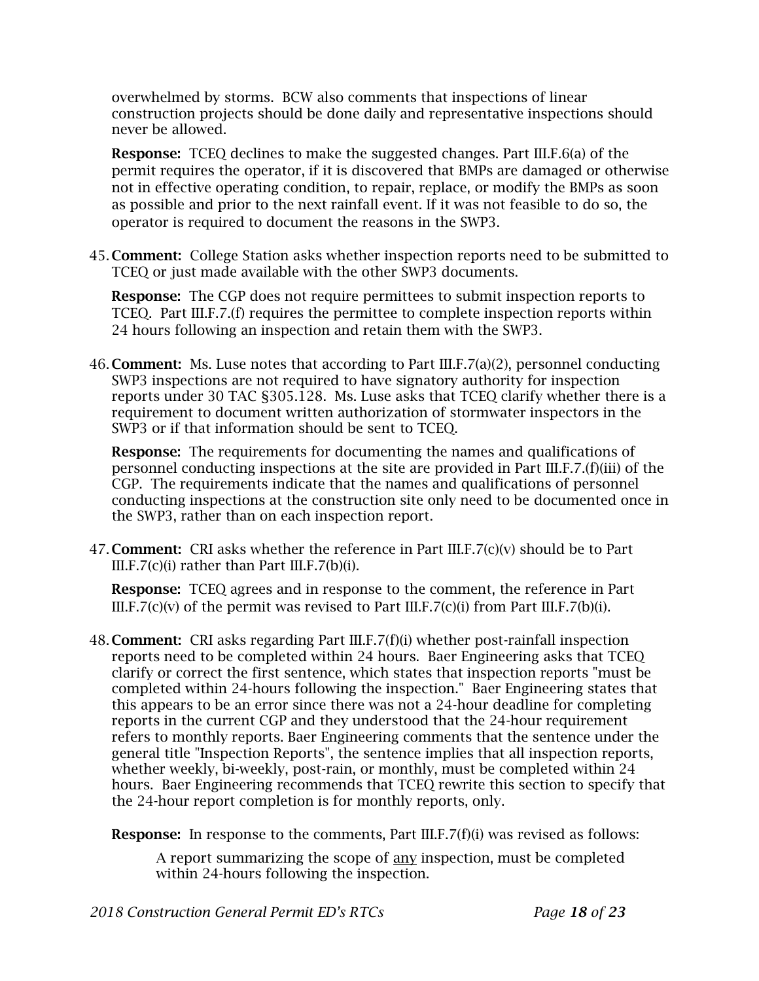overwhelmed by storms. BCW also comments that inspections of linear construction projects should be done daily and representative inspections should never be allowed.

**Response:** TCEQ declines to make the suggested changes. Part III.F.6(a) of the permit requires the operator, if it is discovered that BMPs are damaged or otherwise not in effective operating condition, to repair, replace, or modify the BMPs as soon as possible and prior to the next rainfall event. If it was not feasible to do so, the operator is required to document the reasons in the SWP3.

45. Comment: College Station asks whether inspection reports need to be submitted to TCEQ or just made available with the other SWP3 documents.

Response: The CGP does not require permittees to submit inspection reports to TCEQ. Part III.F.7.(f) requires the permittee to complete inspection reports within 24 hours following an inspection and retain them with the SWP3.

46. **Comment:** Ms. Luse notes that according to Part III.F.7(a)(2), personnel conducting SWP3 inspections are not required to have signatory authority for inspection reports under 30 TAC §305.128. Ms. Luse asks that TCEQ clarify whether there is a requirement to document written authorization of stormwater inspectors in the SWP3 or if that information should be sent to TCEQ.

**Response:** The requirements for documenting the names and qualifications of personnel conducting inspections at the site are provided in Part III.F.7.(f)(iii) of the CGP. The requirements indicate that the names and qualifications of personnel conducting inspections at the construction site only need to be documented once in the SWP3, rather than on each inspection report.

47. **Comment:** CRI asks whether the reference in Part III.F.7(c)(v) should be to Part  $III.F.7(c)(i)$  rather than Part  $III.F.7(b)(i)$ .

Response: TCEQ agrees and in response to the comment, the reference in Part III.F.7(c)(v) of the permit was revised to Part III.F.7(c)(i) from Part III.F.7(b)(i).

48. Comment: CRI asks regarding Part III.F.7(f)(i) whether post-rainfall inspection reports need to be completed within 24 hours. Baer Engineering asks that TCEQ clarify or correct the first sentence, which states that inspection reports "must be completed within 24-hours following the inspection." Baer Engineering states that this appears to be an error since there was not a 24-hour deadline for completing reports in the current CGP and they understood that the 24-hour requirement refers to monthly reports. Baer Engineering comments that the sentence under the general title "Inspection Reports", the sentence implies that all inspection reports, whether weekly, bi-weekly, post-rain, or monthly, must be completed within 24 hours. Baer Engineering recommends that TCEQ rewrite this section to specify that the 24-hour report completion is for monthly reports, only.

Response: In response to the comments, Part III.F.7(f)(i) was revised as follows:

A report summarizing the scope of any inspection, must be completed within 24-hours following the inspection.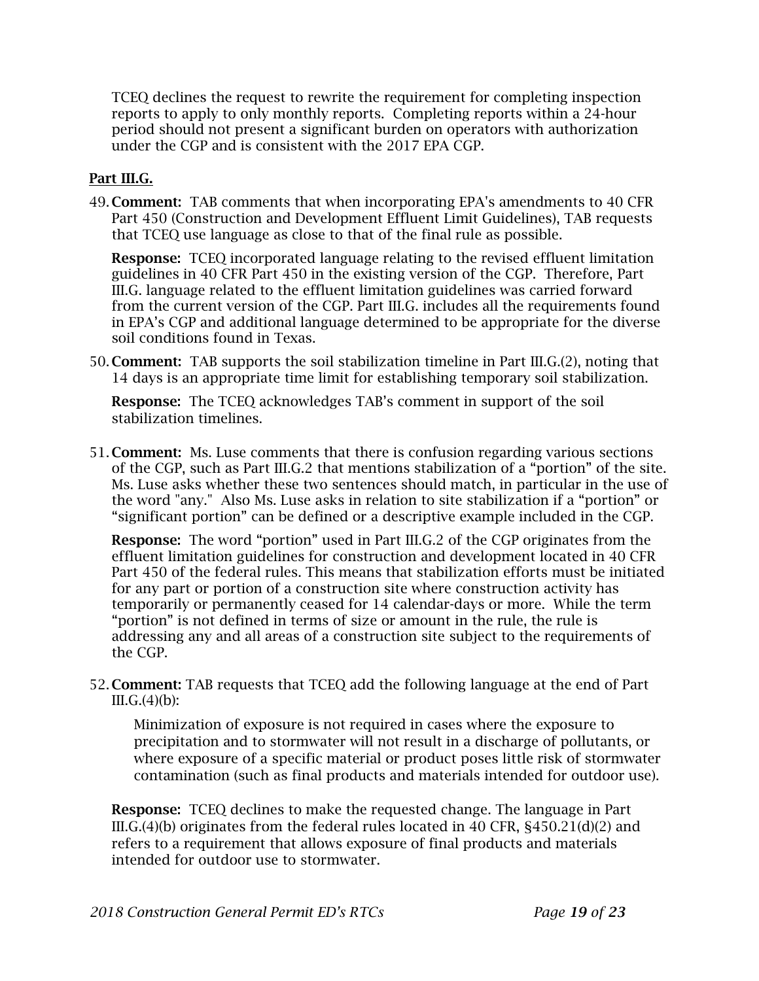TCEQ declines the request to rewrite the requirement for completing inspection reports to apply to only monthly reports. Completing reports within a 24-hour period should not present a significant burden on operators with authorization under the CGP and is consistent with the 2017 EPA CGP.

### Part III.G.

49. Comment: TAB comments that when incorporating EPA's amendments to 40 CFR Part 450 (Construction and Development Effluent Limit Guidelines), TAB requests that TCEQ use language as close to that of the final rule as possible.

Response: TCEQ incorporated language relating to the revised effluent limitation guidelines in 40 CFR Part 450 in the existing version of the CGP. Therefore, Part III.G. language related to the effluent limitation guidelines was carried forward from the current version of the CGP. Part III.G. includes all the requirements found in EPA's CGP and additional language determined to be appropriate for the diverse soil conditions found in Texas.

50. Comment: TAB supports the soil stabilization timeline in Part III.G.(2), noting that 14 days is an appropriate time limit for establishing temporary soil stabilization.

Response: The TCEQ acknowledges TAB's comment in support of the soil stabilization timelines.

51. Comment: Ms. Luse comments that there is confusion regarding various sections of the CGP, such as Part III.G.2 that mentions stabilization of a "portion" of the site. Ms. Luse asks whether these two sentences should match, in particular in the use of the word "any." Also Ms. Luse asks in relation to site stabilization if a "portion" or "significant portion" can be defined or a descriptive example included in the CGP.

Response: The word "portion" used in Part III.G.2 of the CGP originates from the effluent limitation guidelines for construction and development located in 40 CFR Part 450 of the federal rules. This means that stabilization efforts must be initiated for any part or portion of a construction site where construction activity has temporarily or permanently ceased for 14 calendar-days or more. While the term "portion" is not defined in terms of size or amount in the rule, the rule is addressing any and all areas of a construction site subject to the requirements of the CGP.

52. Comment: TAB requests that TCEQ add the following language at the end of Part  $III.G.(4)(b):$ 

Minimization of exposure is not required in cases where the exposure to precipitation and to stormwater will not result in a discharge of pollutants, or where exposure of a specific material or product poses little risk of stormwater contamination (such as final products and materials intended for outdoor use).

**Response:** TCEQ declines to make the requested change. The language in Part III.G.(4)(b) originates from the federal rules located in 40 CFR, §450.21(d)(2) and refers to a requirement that allows exposure of final products and materials intended for outdoor use to stormwater.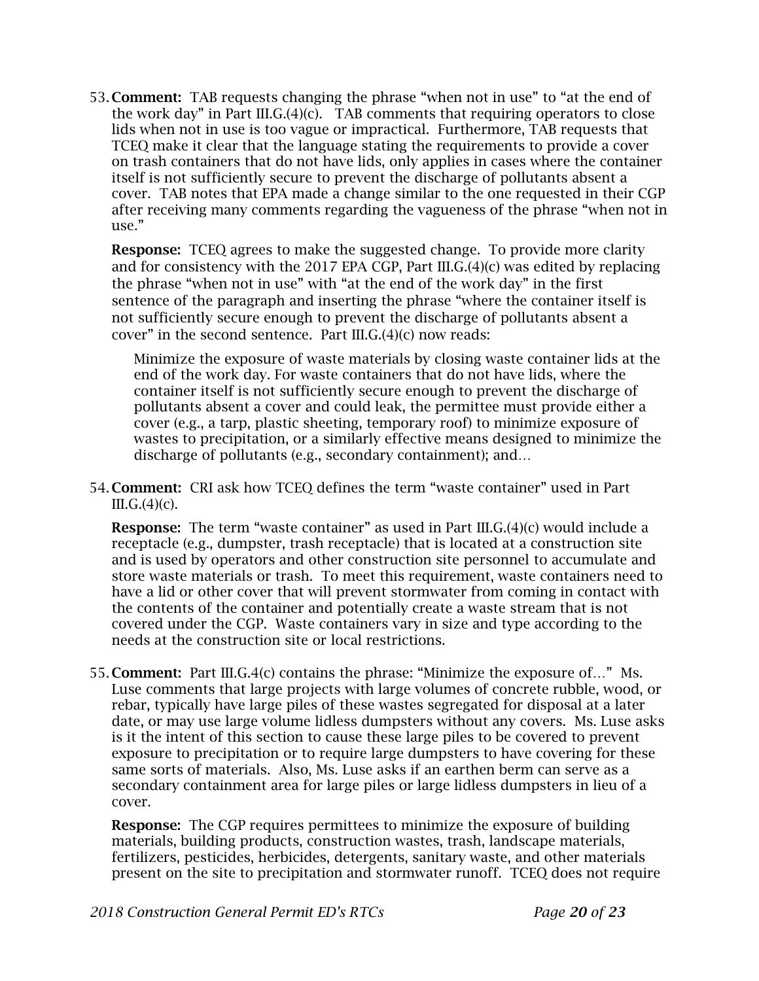53. Comment: TAB requests changing the phrase "when not in use" to "at the end of the work day" in Part III.G. $(4)(c)$ . TAB comments that requiring operators to close lids when not in use is too vague or impractical. Furthermore, TAB requests that TCEQ make it clear that the language stating the requirements to provide a cover on trash containers that do not have lids, only applies in cases where the container itself is not sufficiently secure to prevent the discharge of pollutants absent a cover. TAB notes that EPA made a change similar to the one requested in their CGP after receiving many comments regarding the vagueness of the phrase "when not in use."

**Response:** TCEQ agrees to make the suggested change. To provide more clarity and for consistency with the 2017 EPA CGP, Part III.G.(4)(c) was edited by replacing the phrase "when not in use" with "at the end of the work day" in the first sentence of the paragraph and inserting the phrase "where the container itself is not sufficiently secure enough to prevent the discharge of pollutants absent a cover" in the second sentence. Part III.G. $(4)(c)$  now reads:

Minimize the exposure of waste materials by closing waste container lids at the end of the work day. For waste containers that do not have lids, where the container itself is not sufficiently secure enough to prevent the discharge of pollutants absent a cover and could leak, the permittee must provide either a cover (e.g., a tarp, plastic sheeting, temporary roof) to minimize exposure of wastes to precipitation, or a similarly effective means designed to minimize the discharge of pollutants (e.g., secondary containment); and…

54. Comment: CRI ask how TCEQ defines the term "waste container" used in Part  $III.G.(4)(c).$ 

**Response:** The term "waste container" as used in Part III.G.(4)(c) would include a receptacle (e.g., dumpster, trash receptacle) that is located at a construction site and is used by operators and other construction site personnel to accumulate and store waste materials or trash. To meet this requirement, waste containers need to have a lid or other cover that will prevent stormwater from coming in contact with the contents of the container and potentially create a waste stream that is not covered under the CGP. Waste containers vary in size and type according to the needs at the construction site or local restrictions.

55. Comment: Part III.G.4(c) contains the phrase: "Minimize the exposure of…" Ms. Luse comments that large projects with large volumes of concrete rubble, wood, or rebar, typically have large piles of these wastes segregated for disposal at a later date, or may use large volume lidless dumpsters without any covers. Ms. Luse asks is it the intent of this section to cause these large piles to be covered to prevent exposure to precipitation or to require large dumpsters to have covering for these same sorts of materials. Also, Ms. Luse asks if an earthen berm can serve as a secondary containment area for large piles or large lidless dumpsters in lieu of a cover.

Response: The CGP requires permittees to minimize the exposure of building materials, building products, construction wastes, trash, landscape materials, fertilizers, pesticides, herbicides, detergents, sanitary waste, and other materials present on the site to precipitation and stormwater runoff. TCEQ does not require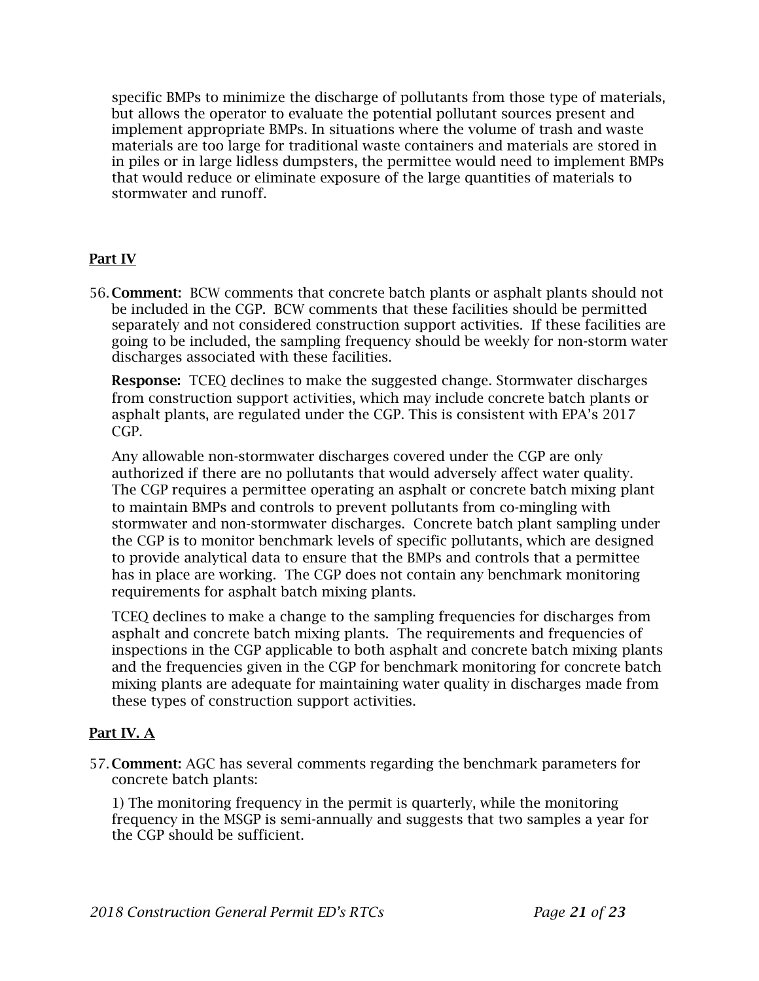specific BMPs to minimize the discharge of pollutants from those type of materials, but allows the operator to evaluate the potential pollutant sources present and implement appropriate BMPs. In situations where the volume of trash and waste materials are too large for traditional waste containers and materials are stored in in piles or in large lidless dumpsters, the permittee would need to implement BMPs that would reduce or eliminate exposure of the large quantities of materials to stormwater and runoff.

## Part IV

56. Comment: BCW comments that concrete batch plants or asphalt plants should not be included in the CGP. BCW comments that these facilities should be permitted separately and not considered construction support activities. If these facilities are going to be included, the sampling frequency should be weekly for non-storm water discharges associated with these facilities.

**Response:** TCEQ declines to make the suggested change. Stormwater discharges from construction support activities, which may include concrete batch plants or asphalt plants, are regulated under the CGP. This is consistent with EPA's 2017 CGP.

Any allowable non-stormwater discharges covered under the CGP are only authorized if there are no pollutants that would adversely affect water quality. The CGP requires a permittee operating an asphalt or concrete batch mixing plant to maintain BMPs and controls to prevent pollutants from co-mingling with stormwater and non-stormwater discharges. Concrete batch plant sampling under the CGP is to monitor benchmark levels of specific pollutants, which are designed to provide analytical data to ensure that the BMPs and controls that a permittee has in place are working. The CGP does not contain any benchmark monitoring requirements for asphalt batch mixing plants.

TCEQ declines to make a change to the sampling frequencies for discharges from asphalt and concrete batch mixing plants. The requirements and frequencies of inspections in the CGP applicable to both asphalt and concrete batch mixing plants and the frequencies given in the CGP for benchmark monitoring for concrete batch mixing plants are adequate for maintaining water quality in discharges made from these types of construction support activities.

## Part IV. A

57. Comment: AGC has several comments regarding the benchmark parameters for concrete batch plants:

1) The monitoring frequency in the permit is quarterly, while the monitoring frequency in the MSGP is semi-annually and suggests that two samples a year for the CGP should be sufficient.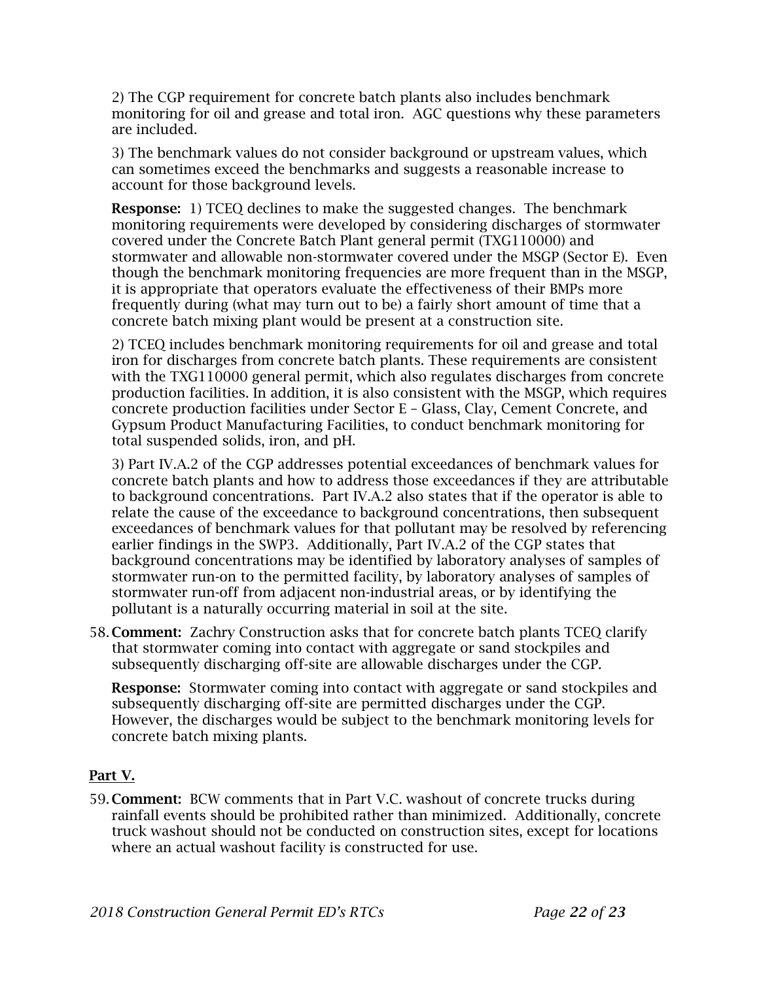2) The CGP requirement for concrete batch plants also includes benchmark monitoring for oil and grease and total iron. AGC questions why these parameters are included.

3) The benchmark values do not consider background or upstream values, which can sometimes exceed the benchmarks and suggests a reasonable increase to account for those background levels.

**Response:** 1) TCEO declines to make the suggested changes. The benchmark monitoring requirements were developed by considering discharges of stormwater covered under the Concrete Batch Plant general permit (TXG110000) and stormwater and allowable non-stormwater covered under the MSGP (Sector E). Even though the benchmark monitoring frequencies are more frequent than in the MSGP, it is appropriate that operators evaluate the effectiveness of their BMPs more frequently during (what may turn out to be) a fairly short amount of time that a concrete batch mixing plant would be present at a construction site.

2) TCEQ includes benchmark monitoring requirements for oil and grease and total iron for discharges from concrete batch plants. These requirements are consistent with the TXG110000 general permit, which also regulates discharges from concrete production facilities. In addition, it is also consistent with the MSGP, which requires concrete production facilities under Sector E – Glass, Clay, Cement Concrete, and Gypsum Product Manufacturing Facilities, to conduct benchmark monitoring for total suspended solids, iron, and pH.

3) Part IV.A.2 of the CGP addresses potential exceedances of benchmark values for concrete batch plants and how to address those exceedances if they are attributable to background concentrations. Part IV.A.2 also states that if the operator is able to relate the cause of the exceedance to background concentrations, then subsequent exceedances of benchmark values for that pollutant may be resolved by referencing earlier findings in the SWP3. Additionally, Part IV.A.2 of the CGP states that background concentrations may be identified by laboratory analyses of samples of stormwater run-on to the permitted facility, by laboratory analyses of samples of stormwater run-off from adjacent non-industrial areas, or by identifying the pollutant is a naturally occurring material in soil at the site.

58. Comment: Zachry Construction asks that for concrete batch plants TCEQ clarify that stormwater coming into contact with aggregate or sand stockpiles and subsequently discharging off-site are allowable discharges under the CGP.

Response: Stormwater coming into contact with aggregate or sand stockpiles and subsequently discharging off-site are permitted discharges under the CGP. However, the discharges would be subject to the benchmark monitoring levels for concrete batch mixing plants.

# Part V.

59. Comment: BCW comments that in Part V.C. washout of concrete trucks during rainfall events should be prohibited rather than minimized. Additionally, concrete truck washout should not be conducted on construction sites, except for locations where an actual washout facility is constructed for use.